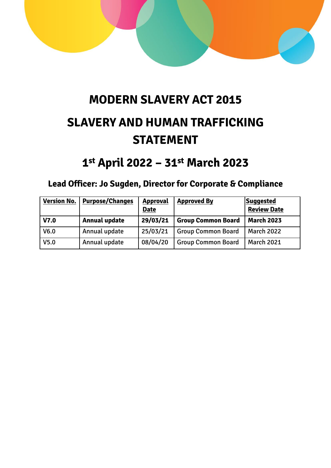

# **MODERN SLAVERY ACT 2015 SLAVERY AND HUMAN TRAFFICKING STATEMENT**

## **1 st April 2022 – 31st March 2023**

## **Lead Officer: Jo Sugden, Director for Corporate & Compliance**

| <b>Version No.</b> | <b>Purpose/Changes</b> | <b>Approval</b><br><b>Date</b> | <b>Approved By</b>        | Suggested<br><b>Review Date</b> |
|--------------------|------------------------|--------------------------------|---------------------------|---------------------------------|
| V7.0               | <b>Annual update</b>   | 29/03/21                       | <b>Group Common Board</b> | <b>March 2023</b>               |
| V <sub>6.0</sub>   | Annual update          | 25/03/21                       | <b>Group Common Board</b> | <b>March 2022</b>               |
| V <sub>5.0</sub>   | Annual update          | 08/04/20                       | <b>Group Common Board</b> | <b>March 2021</b>               |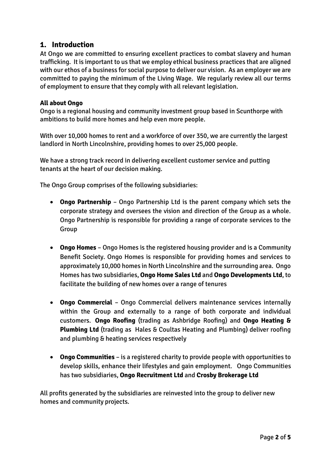## **1. Introduction**

At Ongo we are committed to ensuring excellent practices to combat slavery and human trafficking. It is important to us that we employ ethical business practices that are aligned with our ethos of a business for social purpose to deliver our vision. As an employer we are committed to paying the minimum of the Living Wage. We regularly review all our terms of employment to ensure that they comply with all relevant legislation.

#### **All about Ongo**

Ongo is a regional housing and community investment group based in Scunthorpe with ambitions to build more homes and help even more people.

With over 10,000 homes to rent and a workforce of over 350, we are currently the largest landlord in North Lincolnshire, providing homes to over 25,000 people.

We have a strong track record in delivering excellent customer service and putting tenants at the heart of our decision making.

The Ongo Group comprises of the following subsidiaries:

- **Ongo Partnership** Ongo Partnership Ltd is the parent company which sets the corporate strategy and oversees the vision and direction of the Group as a whole. Ongo Partnership is responsible for providing a range of corporate services to the Group
- **Ongo Homes** Ongo Homes is the registered housing provider and is a Community Benefit Society. Ongo Homes is responsible for providing homes and services to approximately 10,000 homes in North Lincolnshire and the surrounding area. Ongo Homes has two subsidiaries, **Ongo Home Sales Ltd** and **Ongo Developments Ltd**, to facilitate the building of new homes over a range of tenures
- **Ongo Commercial** Ongo Commercial delivers maintenance services internally within the Group and externally to a range of both corporate and individual customers. **Ongo Roofing** (trading as Ashbridge Roofing) and **Ongo Heating & Plumbing Ltd** (trading as Hales & Coultas Heating and Plumbing) deliver roofing and plumbing & heating services respectively
- **Ongo Communities** is a registered charity to provide people with opportunities to develop skills, enhance their lifestyles and gain employment. Ongo Communities has two subsidiaries, **Ongo Recruitment Ltd** and **Crosby Brokerage Ltd**

All profits generated by the subsidiaries are reinvested into the group to deliver new homes and community projects.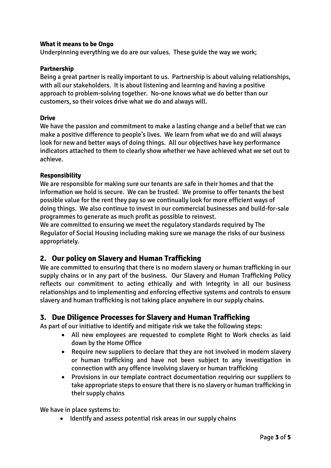#### **What it means to be Ongo**

Underpinning everything we do are our values. These guide the way we work;

#### **Partnership**

Being a great partner is really important to us. Partnership is about valuing relationships, with all our stakeholders. It is about listening and learning and having a positive approach to problem-solving together. No-one knows what we do better than our customers, so their voices drive what we do and always will.

#### **Drive**

We have the passion and commitment to make a lasting change and a belief that we can make a positive difference to people's lives. We learn from what we do and will always look for new and better ways of doing things. All our objectives have key performance indicators attached to them to clearly show whether we have achieved what we set out to achieve.

#### **Responsibility**

We are responsible for making sure our tenants are safe in their homes and that the information we hold is secure. We can be trusted. We promise to offer tenants the best possible value for the rent they pay so we continually look for more efficient ways of doing things. We also continue to invest in our commercial businesses and build-for-sale programmes to generate as much profit as possible to reinvest.

We are committed to ensuring we meet the regulatory standards required by The Regulator of Social Housing including making sure we manage the risks of our business appropriately.

## **2. Our policy on Slavery and Human Trafficking**

We are committed to ensuring that there is no modern slavery or human trafficking in our supply chains or in any part of the business. Our Slavery and Human Trafficking Policy reflects our commitment to acting ethically and with integrity in all our business relationships and to implementing and enforcing effective systems and controls to ensure slavery and human trafficking is not taking place anywhere in our supply chains.

#### **3. Due Diligence Processes for Slavery and Human Trafficking**

As part of our initiative to identify and mitigate risk we take the following steps:

- All new employees are requested to complete Right to Work checks as laid down by the Home Office
- Require new suppliers to declare that they are not involved in modern slavery or human trafficking and have not been subject to any investigation in connection with any offence involving slavery or human trafficking
- Provisions in our template contract documentation requiring our suppliers to take appropriate steps to ensure that there is no slavery or human trafficking in their supply chains

We have in place systems to:

• Identify and assess potential risk areas in our supply chains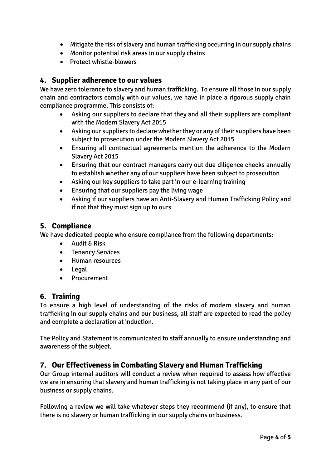- Mitigate the risk of slavery and human trafficking occurring in our supply chains
- Monitor potential risk areas in our supply chains
- Protect whistle-blowers

## **4. Supplier adherence to our values**

We have zero tolerance to slavery and human trafficking. To ensure all those in our supply chain and contractors comply with our values, we have in place a rigorous supply chain compliance programme. This consists of:

- Asking our suppliers to declare that they and all their suppliers are compliant with the Modern Slavery Act 2015
- Asking our suppliers to declare whether they or any of their suppliers have been subject to prosecution under the Modern Slavery Act 2015
- Ensuring all contractual agreements mention the adherence to the Modern Slavery Act 2015
- Ensuring that our contract managers carry out due diligence checks annually to establish whether any of our suppliers have been subject to prosecution
- Asking our key suppliers to take part in our e-learning training
- Ensuring that our suppliers pay the living wage
- Asking if our suppliers have an Anti-Slavery and Human Trafficking Policy and if not that they must sign up to ours

### **5. Compliance**

We have dedicated people who ensure compliance from the following departments:

- Audit & Risk
- Tenancy Services
- Human resources
- Legal
- **Procurement**

## **6. Training**

To ensure a high level of understanding of the risks of modern slavery and human trafficking in our supply chains and our business, all staff are expected to read the policy and complete a declaration at induction.

The Policy and Statement is communicated to staff annually to ensure understanding and awareness of the subject.

## **7. Our Effectiveness in Combating Slavery and Human Trafficking**

Our Group internal auditors will conduct a review when required to assess how effective we are in ensuring that slavery and human trafficking is not taking place in any part of our business or supply chains.

Following a review we will take whatever steps they recommend (if any), to ensure that there is no slavery or human trafficking in our supply chains or business.